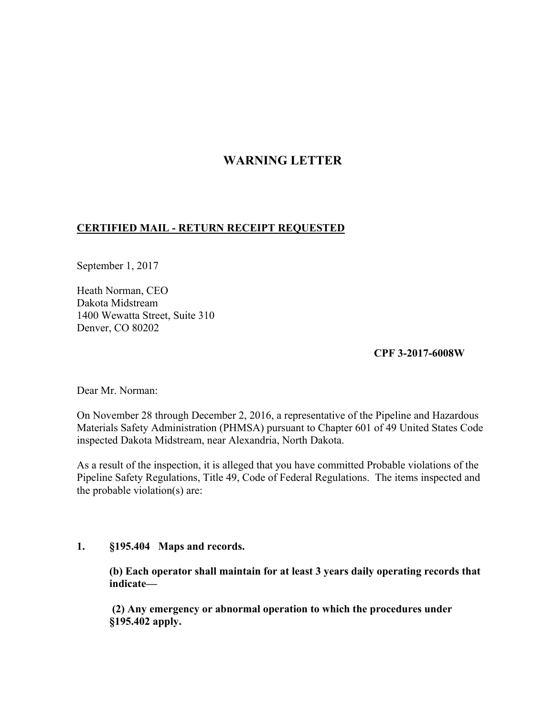# **WARNING LETTER**

## **CERTIFIED MAIL - RETURN RECEIPT REQUESTED**

September 1, 2017

Heath Norman, CEO Dakota Midstream 1400 Wewatta Street, Suite 310 Denver, CO 80202

#### **CPF 3-2017-6008W**

Dear Mr. Norman:

On November 28 through December 2, 2016, a representative of the Pipeline and Hazardous Materials Safety Administration (PHMSA) pursuant to Chapter 601 of 49 United States Code inspected Dakota Midstream, near Alexandria, North Dakota.

As a result of the inspection, it is alleged that you have committed Probable violations of the Pipeline Safety Regulations, Title 49, Code of Federal Regulations. The items inspected and the probable violation(s) are:

### **1. §195.404 Maps and records.**

**(b) Each operator shall maintain for at least 3 years daily operating records that indicate—** 

 **(2) Any emergency or abnormal operation to which the procedures under §195.402 apply.**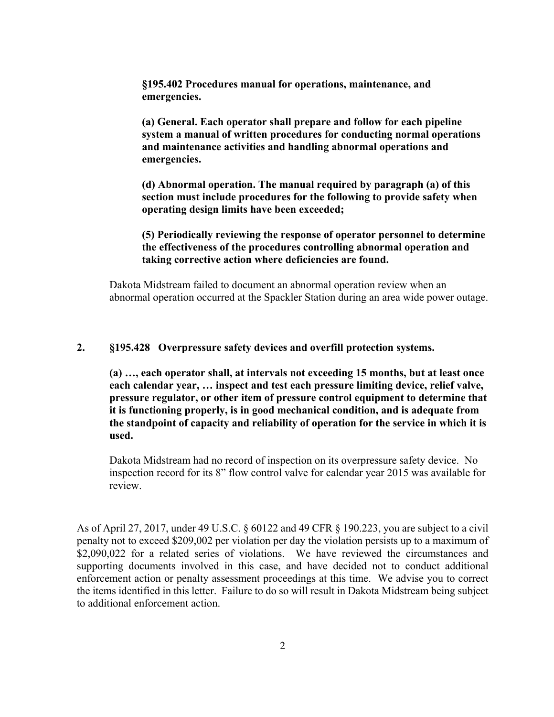**§195.402 Procedures manual for operations, maintenance, and emergencies.** 

**(a) General. Each operator shall prepare and follow for each pipeline system a manual of written procedures for conducting normal operations and maintenance activities and handling abnormal operations and emergencies.** 

**(d) Abnormal operation. The manual required by paragraph (a) of this section must include procedures for the following to provide safety when operating design limits have been exceeded;** 

**(5) Periodically reviewing the response of operator personnel to determine the effectiveness of the procedures controlling abnormal operation and taking corrective action where deficiencies are found.** 

Dakota Midstream failed to document an abnormal operation review when an abnormal operation occurred at the Spackler Station during an area wide power outage.

#### **2. §195.428 Overpressure safety devices and overfill protection systems.**

**(a) …, each operator shall, at intervals not exceeding 15 months, but at least once each calendar year, … inspect and test each pressure limiting device, relief valve, pressure regulator, or other item of pressure control equipment to determine that it is functioning properly, is in good mechanical condition, and is adequate from the standpoint of capacity and reliability of operation for the service in which it is used.** 

Dakota Midstream had no record of inspection on its overpressure safety device. No inspection record for its 8" flow control valve for calendar year 2015 was available for review.

As of April 27, 2017, under 49 U.S.C. § 60122 and 49 CFR § 190.223, you are subject to a civil penalty not to exceed \$209,002 per violation per day the violation persists up to a maximum of \$2,090,022 for a related series of violations. We have reviewed the circumstances and supporting documents involved in this case, and have decided not to conduct additional enforcement action or penalty assessment proceedings at this time. We advise you to correct the items identified in this letter. Failure to do so will result in Dakota Midstream being subject to additional enforcement action.